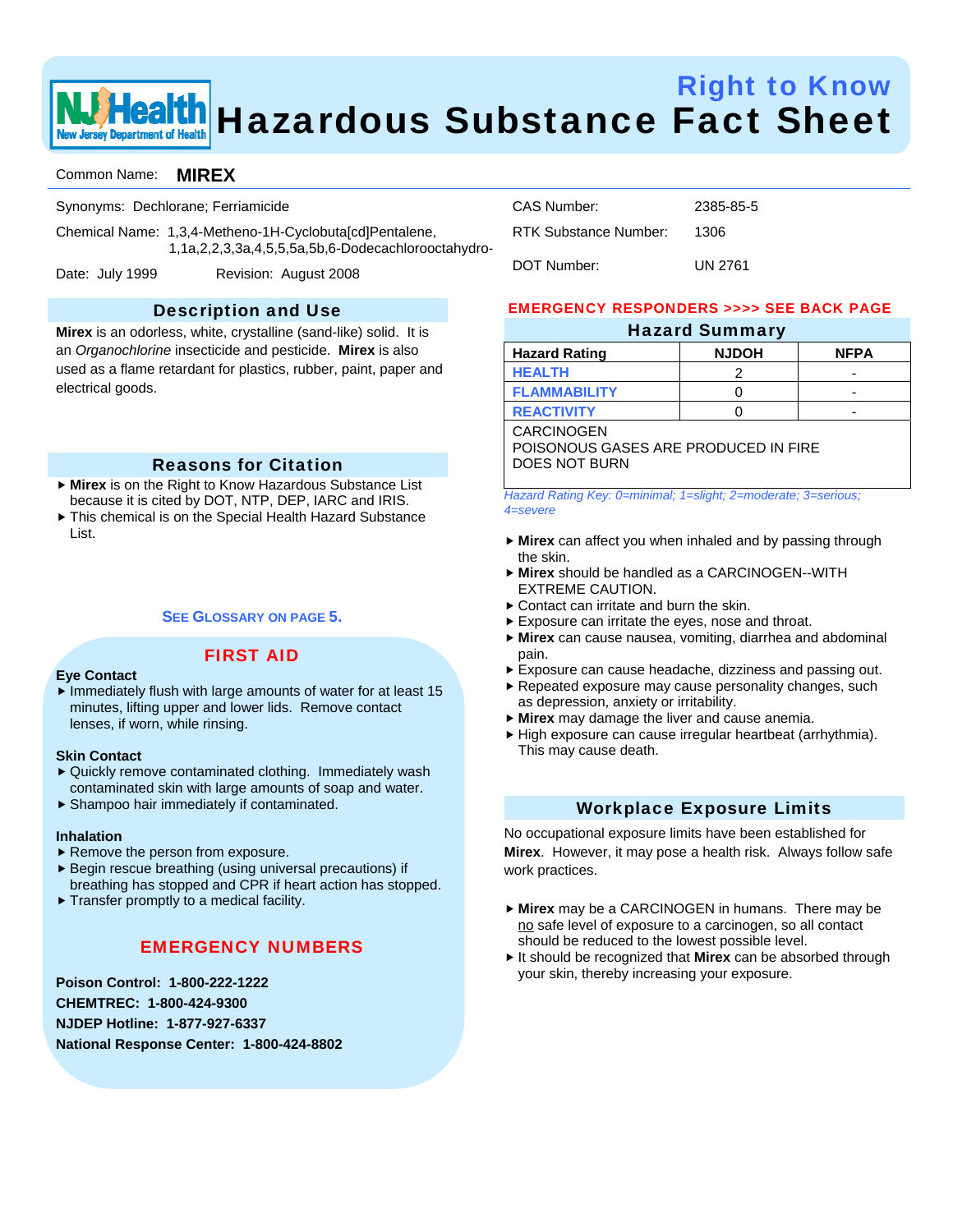

# Right to Know **Health** Hazardous Substance Fact Sheet

#### Common Name: **MIREX**

Synonyms: Dechlorane; Ferriamicide

Chemical Name: 1,3,4-Metheno-1H-Cyclobuta[cd]Pentalene, 1,1a,2,2,3,3a,4,5,5,5a,5b,6-Dodecachlorooctahydro-

Date: July 1999 Revision: August 2008

### Description and Use

**Mirex** is an odorless, white, crystalline (sand-like) solid. It is an *Organochlorine* insecticide and pesticide. **Mirex** is also used as a flame retardant for plastics, rubber, paint, paper and electrical goods.

# Reasons for Citation

- ▶ Mirex is on the Right to Know Hazardous Substance List because it is cited by DOT, NTP, DEP, IARC and IRIS.
- $\triangleright$  This chemical is on the Special Health Hazard Substance List.

#### **SEE GLOSSARY ON PAGE 5.**

## FIRST AID

#### **Eye Contact**

 $\blacktriangleright$  Immediately flush with large amounts of water for at least 15 minutes, lifting upper and lower lids. Remove contact lenses, if worn, while rinsing.

#### **Skin Contact**

- $\blacktriangleright$  Quickly remove contaminated clothing. Immediately wash contaminated skin with large amounts of soap and water.
- $\blacktriangleright$  Shampoo hair immediately if contaminated.

#### **Inhalation**

- $\blacktriangleright$  Remove the person from exposure.
- $\blacktriangleright$  Begin rescue breathing (using universal precautions) if breathing has stopped and CPR if heart action has stopped.
- $\blacktriangleright$  Transfer promptly to a medical facility.

# EMERGENCY NUMBERS

**Poison Control: 1-800-222-1222 CHEMTREC: 1-800-424-9300 NJDEP Hotline: 1-877-927-6337 National Response Center: 1-800-424-8802** 

| CAS Number:           | 2385-85-5 |
|-----------------------|-----------|
| RTK Substance Number: | 1306      |
| DOT Number:           | UN 2761   |

### EMERGENCY RESPONDERS >>>> SEE BACK PAGE Hazard Summary

| <b>Hazard Rating</b> | <b>NJDOH</b> | <b>NFPA</b> |
|----------------------|--------------|-------------|
| <b>HEALTH</b>        |              | -           |
| <b>FLAMMABILITY</b>  |              | -           |
| <b>REACTIVITY</b>    |              | -           |
| $\bigcap$            |              |             |

CARCINOGEN

POISONOUS GASES ARE PRODUCED IN FIRE DOES NOT BURN

*Hazard Rating Key: 0=minimal; 1=slight; 2=moderate; 3=serious; 4=severe*

- **Mirex** can affect you when inhaled and by passing through the skin.
- $\triangleright$  Mirex should be handled as a CARCINOGEN--WITH EXTREME CAUTION.
- $\triangleright$  Contact can irritate and burn the skin.
- $\blacktriangleright$  Exposure can irritate the eyes, nose and throat.
- **Mirex** can cause nausea, vomiting, diarrhea and abdominal pain.
- $\blacktriangleright$  Exposure can cause headache, dizziness and passing out.
- $\blacktriangleright$  Repeated exposure may cause personality changes, such as depression, anxiety or irritability.
- **Mirex** may damage the liver and cause anemia.
- $\blacktriangleright$  High exposure can cause irregular heartbeat (arrhythmia). This may cause death.

# Workplace Exposure Limits

No occupational exposure limits have been established for **Mirex**. However, it may pose a health risk. Always follow safe work practices.

- **Mirex** may be a CARCINOGEN in humans. There may be no safe level of exposure to a carcinogen, so all contact should be reduced to the lowest possible level.
- It should be recognized that Mirex can be absorbed through your skin, thereby increasing your exposure.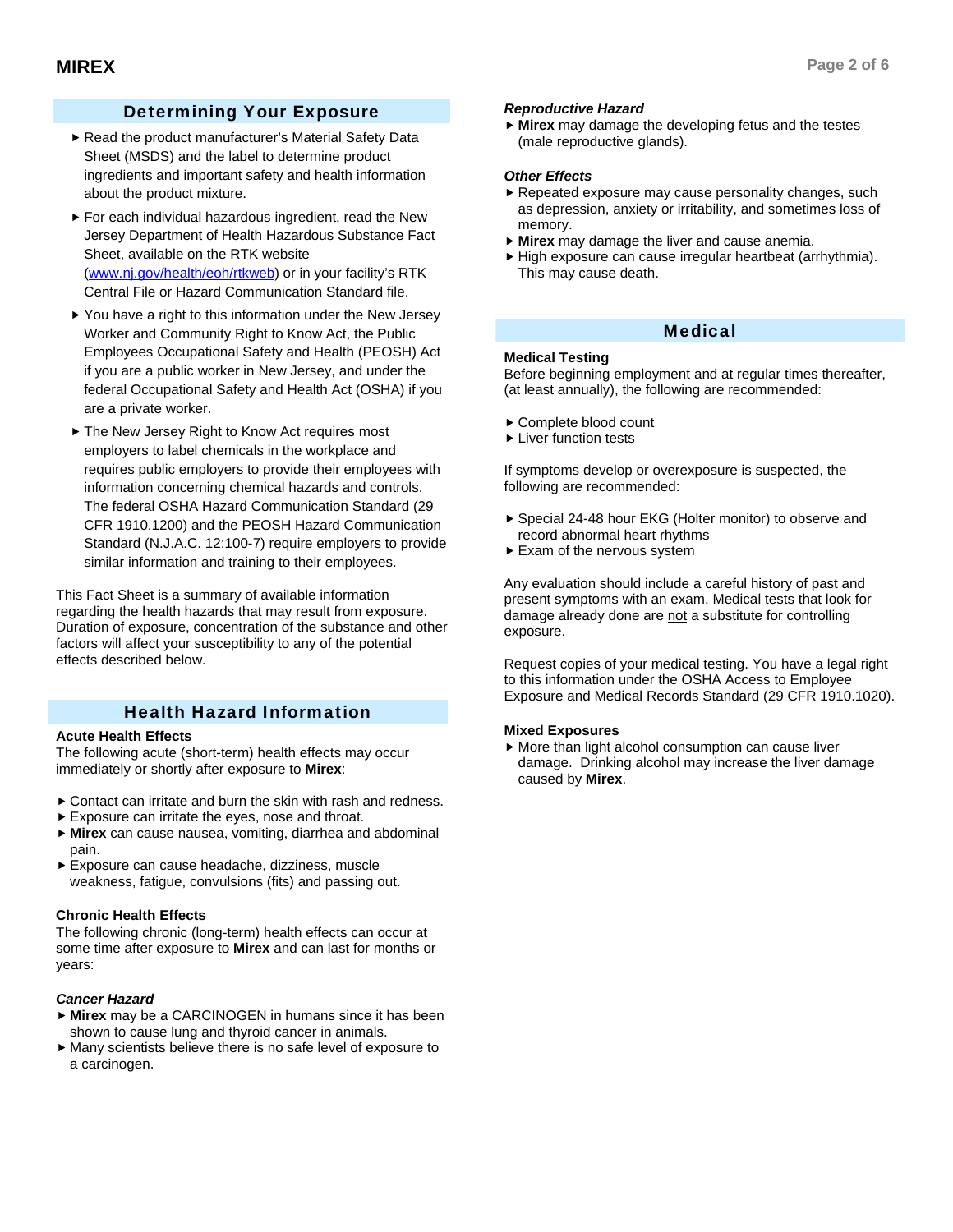# Determining Your Exposure

- Read the product manufacturer's Material Safety Data Sheet (MSDS) and the label to determine product ingredients and important safety and health information about the product mixture.
- $\blacktriangleright$  For each individual hazardous ingredient, read the New Jersey Department of Health Hazardous Substance Fact Sheet, available on the RTK website (www.nj.gov/health/eoh/rtkweb) or in your facility's RTK Central File or Hazard Communication Standard file.
- $\blacktriangleright$  You have a right to this information under the New Jersey Worker and Community Right to Know Act, the Public Employees Occupational Safety and Health (PEOSH) Act if you are a public worker in New Jersey, and under the federal Occupational Safety and Health Act (OSHA) if you are a private worker.
- ▶ The New Jersey Right to Know Act requires most employers to label chemicals in the workplace and requires public employers to provide their employees with information concerning chemical hazards and controls. The federal OSHA Hazard Communication Standard (29 CFR 1910.1200) and the PEOSH Hazard Communication Standard (N.J.A.C. 12:100-7) require employers to provide similar information and training to their employees.

This Fact Sheet is a summary of available information regarding the health hazards that may result from exposure. Duration of exposure, concentration of the substance and other factors will affect your susceptibility to any of the potential effects described below.

# Health Hazard Information

#### **Acute Health Effects**

The following acute (short-term) health effects may occur immediately or shortly after exposure to **Mirex**:

- $\triangleright$  Contact can irritate and burn the skin with rash and redness.
- $\blacktriangleright$  Exposure can irritate the eyes, nose and throat.
- ▶ Mirex can cause nausea, vomiting, diarrhea and abdominal pain.
- ▶ Exposure can cause headache, dizziness, muscle weakness, fatigue, convulsions (fits) and passing out.

#### **Chronic Health Effects**

The following chronic (long-term) health effects can occur at some time after exposure to **Mirex** and can last for months or years:

### *Cancer Hazard*

- **Mirex** may be a CARCINOGEN in humans since it has been shown to cause lung and thyroid cancer in animals.
- $\triangleright$  Many scientists believe there is no safe level of exposure to a carcinogen.

#### *Reproductive Hazard*

**Mirex** may damage the developing fetus and the testes (male reproductive glands).

#### *Other Effects*

- $\blacktriangleright$  Repeated exposure may cause personality changes, such as depression, anxiety or irritability, and sometimes loss of memory.
- **Mirex** may damage the liver and cause anemia.
- $\blacktriangleright$  High exposure can cause irregular heartbeat (arrhythmia). This may cause death.

### Medical

#### **Medical Testing**

Before beginning employment and at regular times thereafter, (at least annually), the following are recommended:

- $\triangleright$  Complete blood count
- $\blacktriangleright$  Liver function tests

If symptoms develop or overexposure is suspected, the following are recommended:

- ▶ Special 24-48 hour EKG (Holter monitor) to observe and record abnormal heart rhythms
- $\blacktriangleright$  Exam of the nervous system

Any evaluation should include a careful history of past and present symptoms with an exam. Medical tests that look for damage already done are not a substitute for controlling exposure.

Request copies of your medical testing. You have a legal right to this information under the OSHA Access to Employee Exposure and Medical Records Standard (29 CFR 1910.1020).

#### **Mixed Exposures**

 $\blacktriangleright$  More than light alcohol consumption can cause liver damage. Drinking alcohol may increase the liver damage caused by **Mirex**.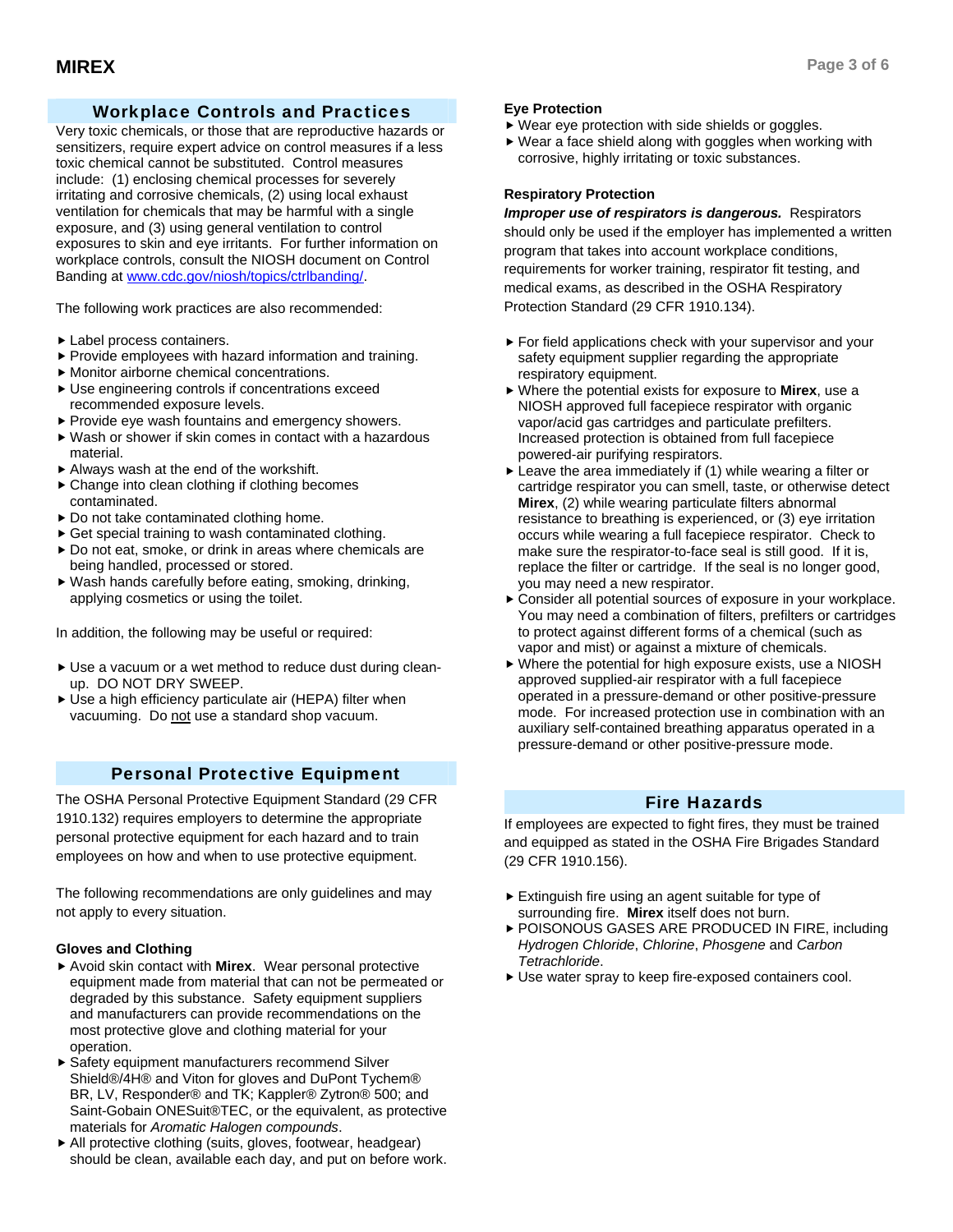# Workplace Controls and Practices

Very toxic chemicals, or those that are reproductive hazards or sensitizers, require expert advice on control measures if a less toxic chemical cannot be substituted. Control measures include: (1) enclosing chemical processes for severely irritating and corrosive chemicals, (2) using local exhaust ventilation for chemicals that may be harmful with a single exposure, and (3) using general ventilation to control exposures to skin and eye irritants. For further information on workplace controls, consult the NIOSH document on Control Banding at www.cdc.gov/niosh/topics/ctrlbanding/.

The following work practices are also recommended:

- $\blacktriangleright$  Label process containers.
- $\blacktriangleright$  Provide employees with hazard information and training.
- $\blacktriangleright$  Monitor airborne chemical concentrations.
- $\blacktriangleright$  Use engineering controls if concentrations exceed recommended exposure levels.
- $\blacktriangleright$  Provide eye wash fountains and emergency showers.
- $\blacktriangleright$  Wash or shower if skin comes in contact with a hazardous material.
- $\blacktriangleright$  Always wash at the end of the workshift.
- $\triangleright$  Change into clean clothing if clothing becomes contaminated.
- $\triangleright$  Do not take contaminated clothing home.
- $\triangleright$  Get special training to wash contaminated clothing.
- $\triangleright$  Do not eat, smoke, or drink in areas where chemicals are being handled, processed or stored.
- $\blacktriangleright$  Wash hands carefully before eating, smoking, drinking, applying cosmetics or using the toilet.

In addition, the following may be useful or required:

- Use a vacuum or a wet method to reduce dust during cleanup. DO NOT DRY SWEEP.
- $\blacktriangleright$  Use a high efficiency particulate air (HEPA) filter when vacuuming. Do not use a standard shop vacuum.

# Personal Protective Equipment

The OSHA Personal Protective Equipment Standard (29 CFR 1910.132) requires employers to determine the appropriate personal protective equipment for each hazard and to train employees on how and when to use protective equipment.

The following recommendations are only guidelines and may not apply to every situation.

#### **Gloves and Clothing**

- ▶ Avoid skin contact with Mirex. Wear personal protective equipment made from material that can not be permeated or degraded by this substance. Safety equipment suppliers and manufacturers can provide recommendations on the most protective glove and clothing material for your operation.
- $\triangleright$  Safety equipment manufacturers recommend Silver Shield®/4H® and Viton for gloves and DuPont Tychem® BR, LV, Responder® and TK; Kappler® Zytron® 500; and Saint-Gobain ONESuit®TEC, or the equivalent, as protective materials for *Aromatic Halogen compounds*.
- $\blacktriangleright$  All protective clothing (suits, gloves, footwear, headgear) should be clean, available each day, and put on before work.

#### **Eye Protection**

- $\blacktriangleright$  Wear eye protection with side shields or goggles.
- $\triangleright$  Wear a face shield along with goggles when working with corrosive, highly irritating or toxic substances.

#### **Respiratory Protection**

*Improper use of respirators is dangerous.* Respirators should only be used if the employer has implemented a written program that takes into account workplace conditions, requirements for worker training, respirator fit testing, and medical exams, as described in the OSHA Respiratory Protection Standard (29 CFR 1910.134).

- $\blacktriangleright$  For field applications check with your supervisor and your safety equipment supplier regarding the appropriate respiratory equipment.
- $\triangleright$  Where the potential exists for exposure to **Mirex**, use a NIOSH approved full facepiece respirator with organic vapor/acid gas cartridges and particulate prefilters. Increased protection is obtained from full facepiece powered-air purifying respirators.
- $\blacktriangleright$  Leave the area immediately if (1) while wearing a filter or cartridge respirator you can smell, taste, or otherwise detect **Mirex**, (2) while wearing particulate filters abnormal resistance to breathing is experienced, or (3) eye irritation occurs while wearing a full facepiece respirator. Check to make sure the respirator-to-face seal is still good. If it is, replace the filter or cartridge. If the seal is no longer good, you may need a new respirator.
- $\triangleright$  Consider all potential sources of exposure in your workplace. You may need a combination of filters, prefilters or cartridges to protect against different forms of a chemical (such as vapor and mist) or against a mixture of chemicals.
- $\blacktriangleright$  Where the potential for high exposure exists, use a NIOSH approved supplied-air respirator with a full facepiece operated in a pressure-demand or other positive-pressure mode. For increased protection use in combination with an auxiliary self-contained breathing apparatus operated in a pressure-demand or other positive-pressure mode.

# Fire Hazards

If employees are expected to fight fires, they must be trained and equipped as stated in the OSHA Fire Brigades Standard (29 CFR 1910.156).

- $\blacktriangleright$  Extinguish fire using an agent suitable for type of surrounding fire. **Mirex** itself does not burn.
- **POISONOUS GASES ARE PRODUCED IN FIRE, including** *Hydrogen Chloride*, *Chlorine*, *Phosgene* and *Carbon Tetrachloride*.
- $\blacktriangleright$  Use water spray to keep fire-exposed containers cool.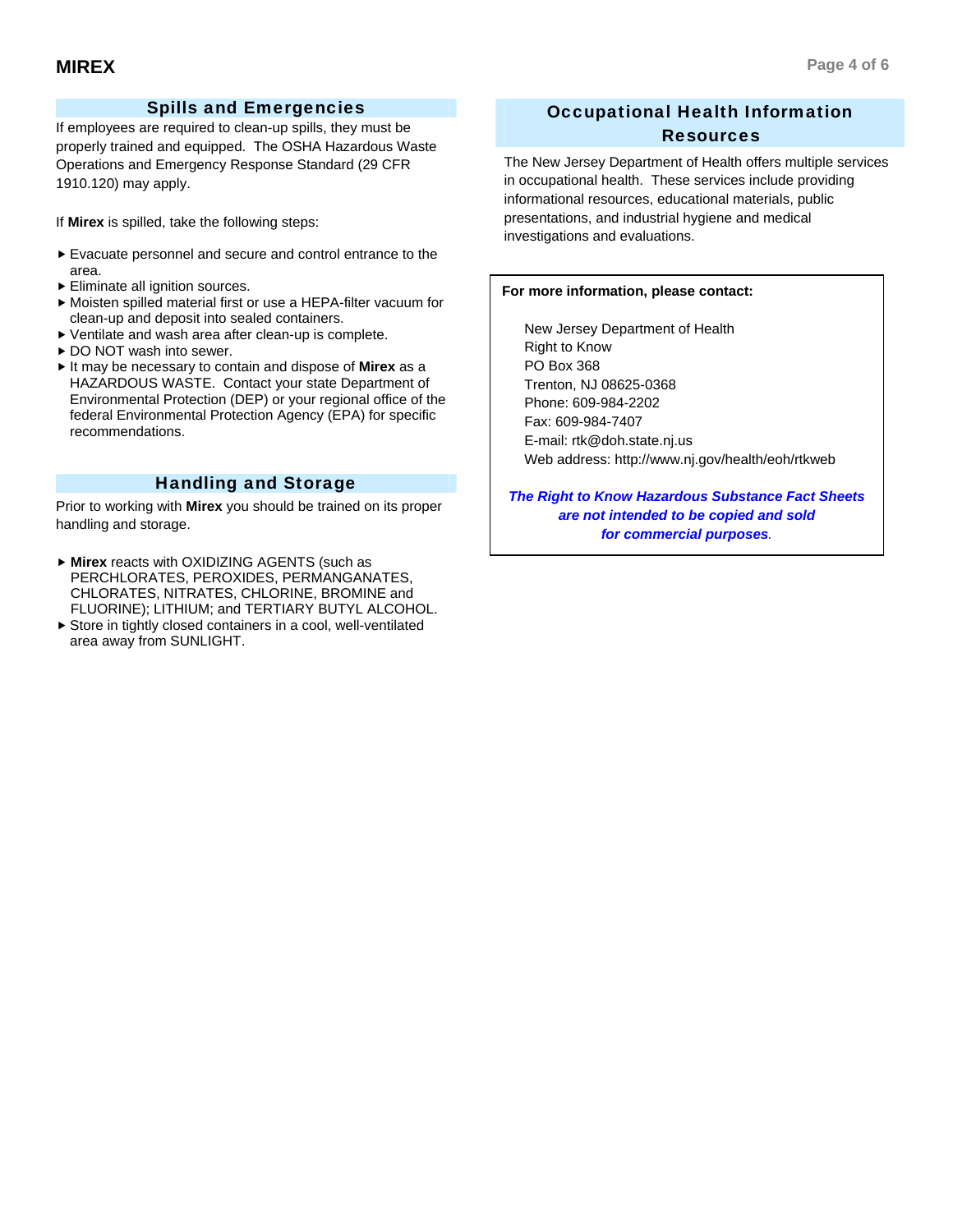# Spills and Emergencies

If employees are required to clean-up spills, they must be properly trained and equipped. The OSHA Hazardous Waste Operations and Emergency Response Standard (29 CFR 1910.120) may apply.

If **Mirex** is spilled, take the following steps:

- $\blacktriangleright$  Evacuate personnel and secure and control entrance to the area.
- $\blacktriangleright$  Eliminate all ignition sources.
- $\triangleright$  Moisten spilled material first or use a HEPA-filter vacuum for clean-up and deposit into sealed containers.
- $\blacktriangleright$  Ventilate and wash area after clean-up is complete.
- ▶ DO NOT wash into sewer.
- $\blacktriangleright$  It may be necessary to contain and dispose of Mirex as a HAZARDOUS WASTE. Contact your state Department of Environmental Protection (DEP) or your regional office of the federal Environmental Protection Agency (EPA) for specific recommendations.

# Handling and Storage

Prior to working with **Mirex** you should be trained on its proper handling and storage.

- ▶ Mirex reacts with OXIDIZING AGENTS (such as PERCHLORATES, PEROXIDES, PERMANGANATES, CHLORATES, NITRATES, CHLORINE, BROMINE and FLUORINE); LITHIUM; and TERTIARY BUTYL ALCOHOL.
- $\triangleright$  Store in tightly closed containers in a cool, well-ventilated area away from SUNLIGHT.

# Occupational Health Information Resources

The New Jersey Department of Health offers multiple services in occupational health. These services include providing informational resources, educational materials, public presentations, and industrial hygiene and medical investigations and evaluations.

#### **For more information, please contact:**

 New Jersey Department of Health Right to Know PO Box 368 Trenton, NJ 08625-0368 Phone: 609-984-2202 Fax: 609-984-7407 E-mail: rtk@doh.state.nj.us Web address: http://www.nj.gov/health/eoh/rtkweb

*The Right to Know Hazardous Substance Fact Sheets are not intended to be copied and sold for commercial purposes.*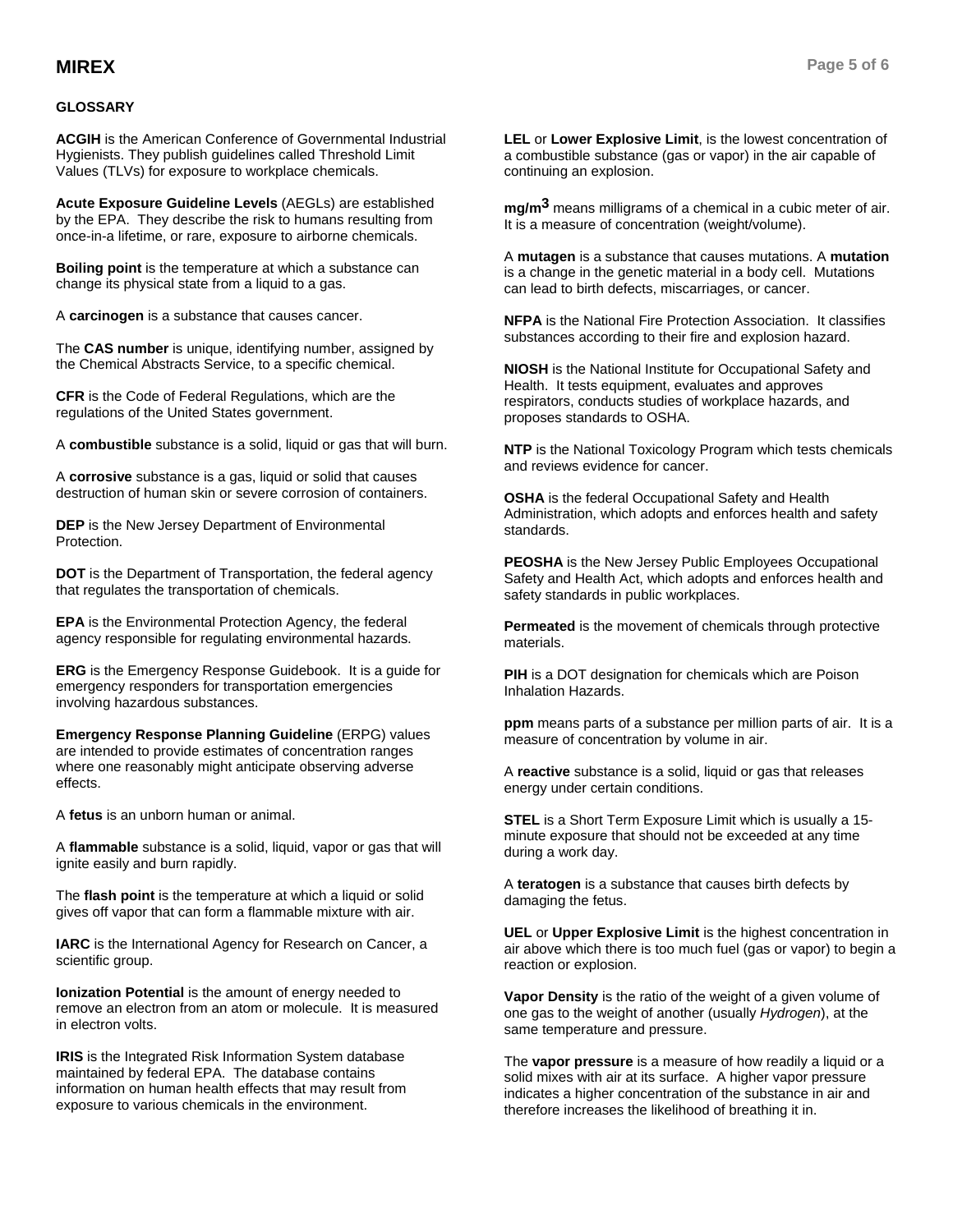#### **GLOSSARY**

**ACGIH** is the American Conference of Governmental Industrial Hygienists. They publish guidelines called Threshold Limit Values (TLVs) for exposure to workplace chemicals.

**Acute Exposure Guideline Levels** (AEGLs) are established by the EPA. They describe the risk to humans resulting from once-in-a lifetime, or rare, exposure to airborne chemicals.

**Boiling point** is the temperature at which a substance can change its physical state from a liquid to a gas.

A **carcinogen** is a substance that causes cancer.

The **CAS number** is unique, identifying number, assigned by the Chemical Abstracts Service, to a specific chemical.

**CFR** is the Code of Federal Regulations, which are the regulations of the United States government.

A **combustible** substance is a solid, liquid or gas that will burn.

A **corrosive** substance is a gas, liquid or solid that causes destruction of human skin or severe corrosion of containers.

**DEP** is the New Jersey Department of Environmental Protection.

**DOT** is the Department of Transportation, the federal agency that regulates the transportation of chemicals.

**EPA** is the Environmental Protection Agency, the federal agency responsible for regulating environmental hazards.

**ERG** is the Emergency Response Guidebook. It is a guide for emergency responders for transportation emergencies involving hazardous substances.

**Emergency Response Planning Guideline** (ERPG) values are intended to provide estimates of concentration ranges where one reasonably might anticipate observing adverse effects.

A **fetus** is an unborn human or animal.

A **flammable** substance is a solid, liquid, vapor or gas that will ignite easily and burn rapidly.

The **flash point** is the temperature at which a liquid or solid gives off vapor that can form a flammable mixture with air.

**IARC** is the International Agency for Research on Cancer, a scientific group.

**Ionization Potential** is the amount of energy needed to remove an electron from an atom or molecule. It is measured in electron volts.

**IRIS** is the Integrated Risk Information System database maintained by federal EPA. The database contains information on human health effects that may result from exposure to various chemicals in the environment.

**LEL** or **Lower Explosive Limit**, is the lowest concentration of a combustible substance (gas or vapor) in the air capable of continuing an explosion.

**mg/m3** means milligrams of a chemical in a cubic meter of air. It is a measure of concentration (weight/volume).

A **mutagen** is a substance that causes mutations. A **mutation** is a change in the genetic material in a body cell. Mutations can lead to birth defects, miscarriages, or cancer.

**NFPA** is the National Fire Protection Association. It classifies substances according to their fire and explosion hazard.

**NIOSH** is the National Institute for Occupational Safety and Health. It tests equipment, evaluates and approves respirators, conducts studies of workplace hazards, and proposes standards to OSHA.

**NTP** is the National Toxicology Program which tests chemicals and reviews evidence for cancer.

**OSHA** is the federal Occupational Safety and Health Administration, which adopts and enforces health and safety standards.

**PEOSHA** is the New Jersey Public Employees Occupational Safety and Health Act, which adopts and enforces health and safety standards in public workplaces.

**Permeated** is the movement of chemicals through protective materials.

**PIH** is a DOT designation for chemicals which are Poison Inhalation Hazards.

**ppm** means parts of a substance per million parts of air. It is a measure of concentration by volume in air.

A **reactive** substance is a solid, liquid or gas that releases energy under certain conditions.

**STEL** is a Short Term Exposure Limit which is usually a 15 minute exposure that should not be exceeded at any time during a work day.

A **teratogen** is a substance that causes birth defects by damaging the fetus.

**UEL** or **Upper Explosive Limit** is the highest concentration in air above which there is too much fuel (gas or vapor) to begin a reaction or explosion.

**Vapor Density** is the ratio of the weight of a given volume of one gas to the weight of another (usually *Hydrogen*), at the same temperature and pressure.

The **vapor pressure** is a measure of how readily a liquid or a solid mixes with air at its surface. A higher vapor pressure indicates a higher concentration of the substance in air and therefore increases the likelihood of breathing it in.